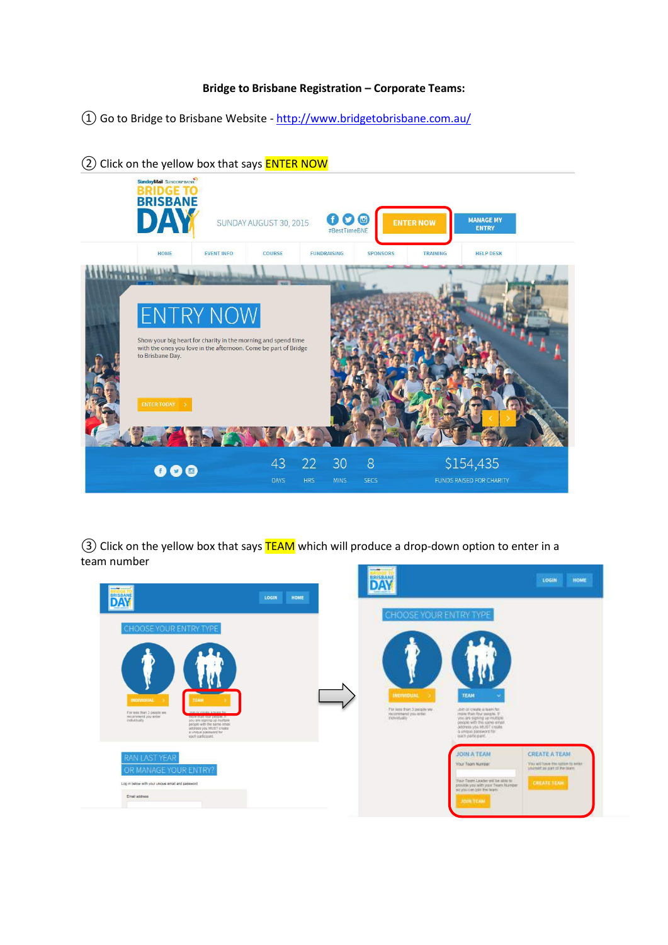## **Bridge to Brisbane Registration – Corporate Teams:**

① Go to Bridge to Brisbane Website - <http://www.bridgetobrisbane.com.au/>



② Click on the yellow box that says ENTER NOW

③ Click on the yellow box that says TEAM which will produce a drop-down option to enter in a team number

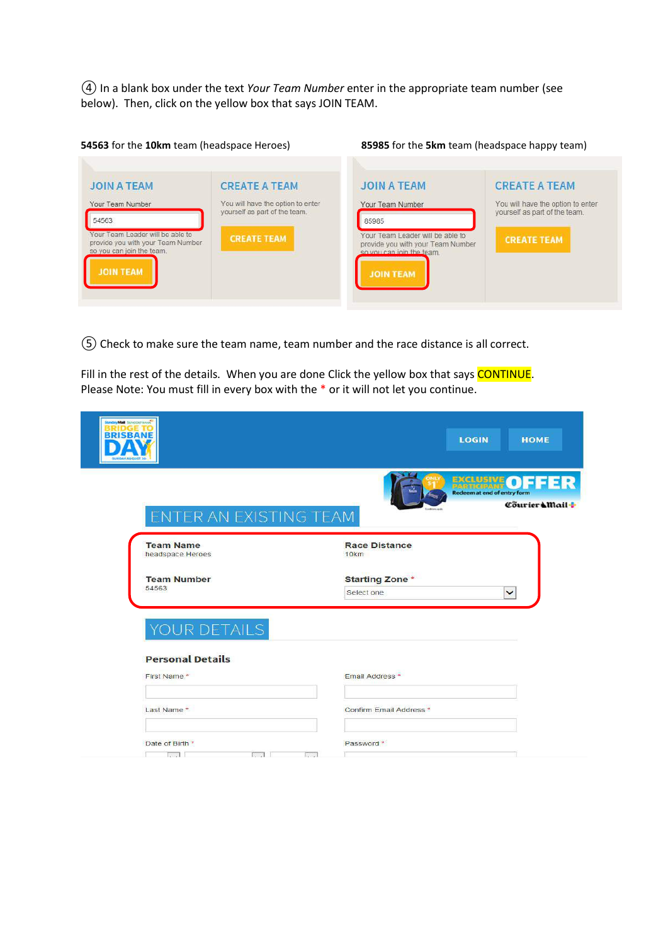④ In a blank box under the text *Your Team Number* enter in the appropriate team number (see below). Then, click on the yellow box that says JOIN TEAM.



⑤ Check to make sure the team name, team number and the race distance is all correct.

Fill in the rest of the details. When you are done Click the yellow box that says CONTINUE. Please Note: You must fill in every box with the \* or it will not let you continue.

| <b>Section Mail</b> Subscriptions<br><b>BRISBANE</b>   | <b>LOGIN</b><br><b>HOME</b>                          |
|--------------------------------------------------------|------------------------------------------------------|
| ENTER AN EXISTING TEAM                                 | <b>EXCLUSIVE OFFER</b><br>Courier Mail +             |
| <b>Team Name</b><br>headspace Heroes                   | <b>Race Distance</b><br>10km                         |
| <b>Team Number</b><br>54563                            | <b>Starting Zone *</b><br>Select one<br>$\checkmark$ |
| YOUR DETAILS                                           |                                                      |
| <b>Personal Details</b>                                |                                                      |
| First Name*                                            | Email Address *                                      |
| Last Name*                                             | Confirm Email Address *                              |
| Date of Birth *<br>$\mathbb{Z}$ . $\mathbb{I}$<br>0.11 | Password *<br>$\sim$                                 |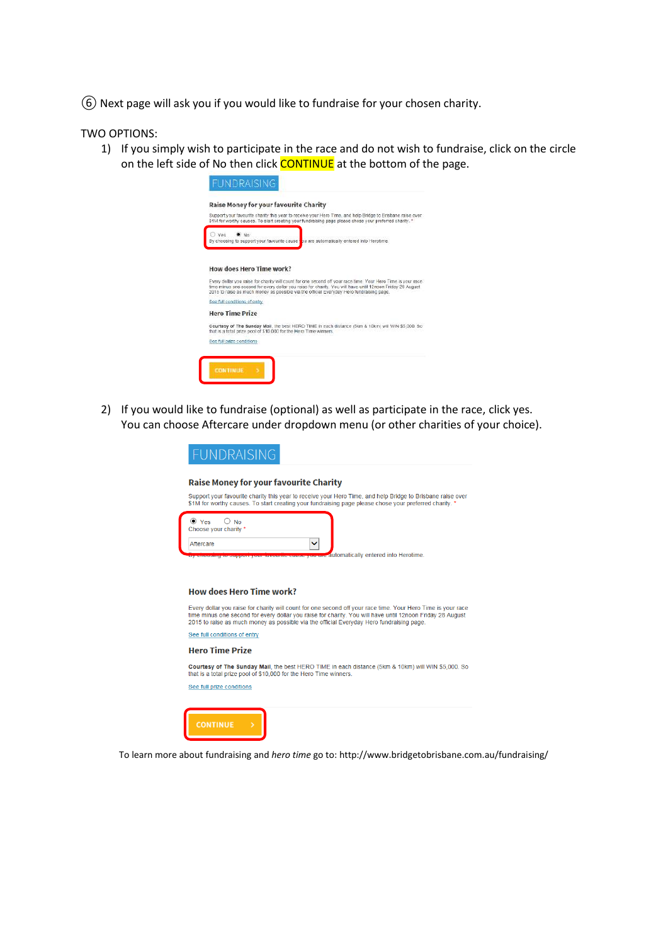⑥ Next page will ask you if you would like to fundraise for your chosen charity.

TWO OPTIONS:

1) If you simply wish to participate in the race and do not wish to fundraise, click on the circle on the left side of No then click **CONTINUE** at the bottom of the page.

|     | Raise Money for your favourite Charity<br>Support your favourite charity this year to receive your Hero Time, and help Bridge to Brisbane raise over-<br>\$1M for worthy causes. To start creating your fundraising page please chose your preferred charity. *                                                       |
|-----|-----------------------------------------------------------------------------------------------------------------------------------------------------------------------------------------------------------------------------------------------------------------------------------------------------------------------|
| Vac | No<br>By choosing to support your favounte cause to are automatically entered into Herotime.                                                                                                                                                                                                                          |
|     | How does Hero Time work?                                                                                                                                                                                                                                                                                              |
|     | Every dollar you raise for charity will count for one second off your race time. Your Hero Time is your race<br>time minus one second for every dollar you raise for charity. You will have until 12noon Friday 28 August<br>2015 to raise as much money as possible via the official Everyday Hero fundraising page. |
|     | See full conditions of entry                                                                                                                                                                                                                                                                                          |
|     | <b>Hero Time Prize</b>                                                                                                                                                                                                                                                                                                |
|     | Courtesy of The Sunday Mail, the best HERO TIME in each distance (5km & 10km) will WIN \$5,000. So<br>that is a total prize pool of \$10,000 for the Hero Time winners.                                                                                                                                               |
|     | See full prize conditions                                                                                                                                                                                                                                                                                             |

2) If you would like to fundraise (optional) as well as participate in the race, click yes. You can choose Aftercare under dropdown menu (or other charities of your choice).

|                                      | Support your favourite charity this year to receive your Hero Time, and help Bridge to Brisbane raise over<br>\$1M for worthy causes. To start creating your fundraising page please chose your preferred charity. *                                                                                                  |
|--------------------------------------|-----------------------------------------------------------------------------------------------------------------------------------------------------------------------------------------------------------------------------------------------------------------------------------------------------------------------|
| $\odot$ Yes<br>Choose your charity * | $\bigcirc$ No                                                                                                                                                                                                                                                                                                         |
| Aftercare                            |                                                                                                                                                                                                                                                                                                                       |
|                                      | By choosing to support your rayounte cause you are automatically entered into Herotime.                                                                                                                                                                                                                               |
|                                      | <b>How does Hero Time work?</b>                                                                                                                                                                                                                                                                                       |
|                                      | Every dollar you raise for charity will count for one second off your race time. Your Hero Time is your race<br>time minus one second for every dollar you raise for charity. You will have until 12noon Friday 28 August<br>2015 to raise as much money as possible via the official Everyday Hero fundraising page. |
|                                      | See full conditions of entry<br><b>Hero Time Prize</b>                                                                                                                                                                                                                                                                |
|                                      | Courtesy of The Sunday Mail, the best HERO TIME in each distance (5km & 10km) will WIN \$5,000. So<br>that is a total prize pool of \$10,000 for the Hero Time winners.                                                                                                                                               |

To learn more about fundraising and *hero time* go to: http://www.bridgetobrisbane.com.au/fundraising/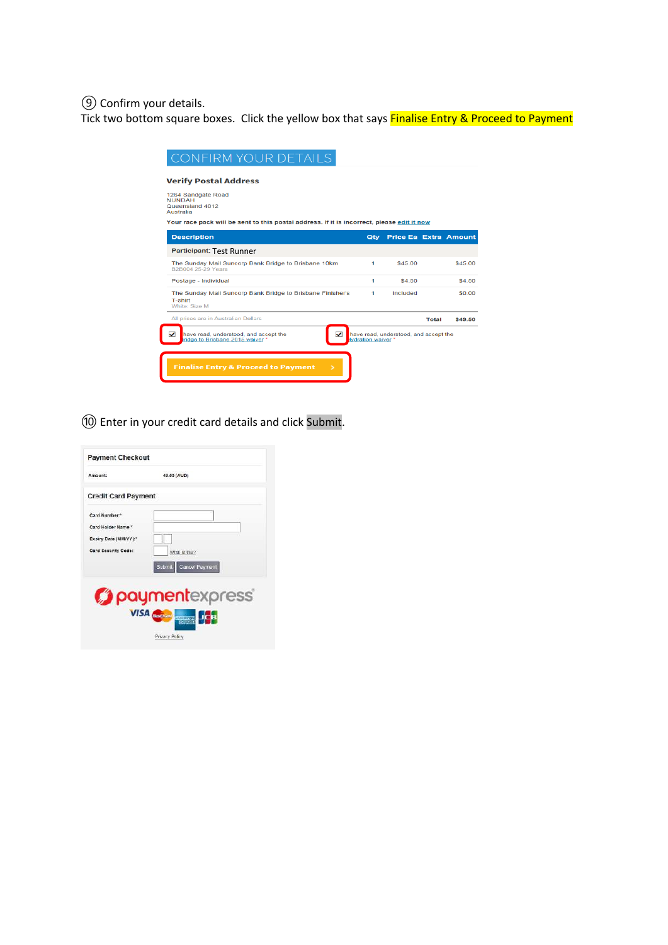## ⑨ Confirm your details.

Tick two bottom square boxes. Click the yellow box that says **Finalise Entry & Proceed to Payment** 

| CONFIRM YOUR DETAILS                                                                          |   |                   |     |                                       |       |         |
|-----------------------------------------------------------------------------------------------|---|-------------------|-----|---------------------------------------|-------|---------|
| <b>Verify Postal Address</b>                                                                  |   |                   |     |                                       |       |         |
| 1264 Sandgate Road<br><b>NUNDAH</b><br>Queensland 4012<br>Australia                           |   |                   |     |                                       |       |         |
| Your race pack will be sent to this postal address. If it is incorrect, please edit it now    |   |                   |     |                                       |       |         |
| <b>Description</b>                                                                            |   |                   | Qtv | <b>Price Ea Extra Amount</b>          |       |         |
| <b>Participant: Test Runner</b>                                                               |   |                   |     |                                       |       |         |
| The Sunday Mail Suncorp Bank Bridge to Brisbane 10km<br>B2B004 25-29 Years                    |   | 1                 |     | \$45.00                               |       | \$45.00 |
| Postage - Individual                                                                          |   | ٠                 |     | \$4.50                                |       | \$4.50  |
| The Sunday Mail Suncorp Bank Bridge to Brisbane Finisher's<br><b>T-shirt</b><br>White: Size M |   | 1                 |     | Included                              |       | \$0.00  |
| All prices are in Australian Dollars                                                          |   |                   |     |                                       | Total | \$49.50 |
| have read, understood, and accept the<br>ridge to Brisbane 2015 waiver                        | ✓ | vdration waiver * |     | have read, understood, and accept the |       |         |
| <b>Finalise Entry &amp; Proceed to Payment</b><br>$\rightarrow$                               |   |                   |     |                                       |       |         |

⑩ Enter in your credit card details and click Submit.

| Amount<br>49.50 (AUD)<br><b>Credit Card Payment</b><br>Card Number: <sup>+</sup><br>Card Holder Name:"<br>Expiry Date (MM/YY):*<br>Card Security Code:<br>What is this?<br>Submit<br>Cancel Payment | <b>Payment Checkout</b> |                |
|-----------------------------------------------------------------------------------------------------------------------------------------------------------------------------------------------------|-------------------------|----------------|
|                                                                                                                                                                                                     |                         |                |
|                                                                                                                                                                                                     |                         |                |
|                                                                                                                                                                                                     |                         |                |
|                                                                                                                                                                                                     |                         |                |
|                                                                                                                                                                                                     |                         |                |
|                                                                                                                                                                                                     |                         |                |
|                                                                                                                                                                                                     |                         |                |
|                                                                                                                                                                                                     |                         |                |
|                                                                                                                                                                                                     |                         |                |
|                                                                                                                                                                                                     |                         | <b>EXPASSS</b> |
| paymentexpress®<br><b>VISA Mastersand AVISED</b>                                                                                                                                                    |                         |                |